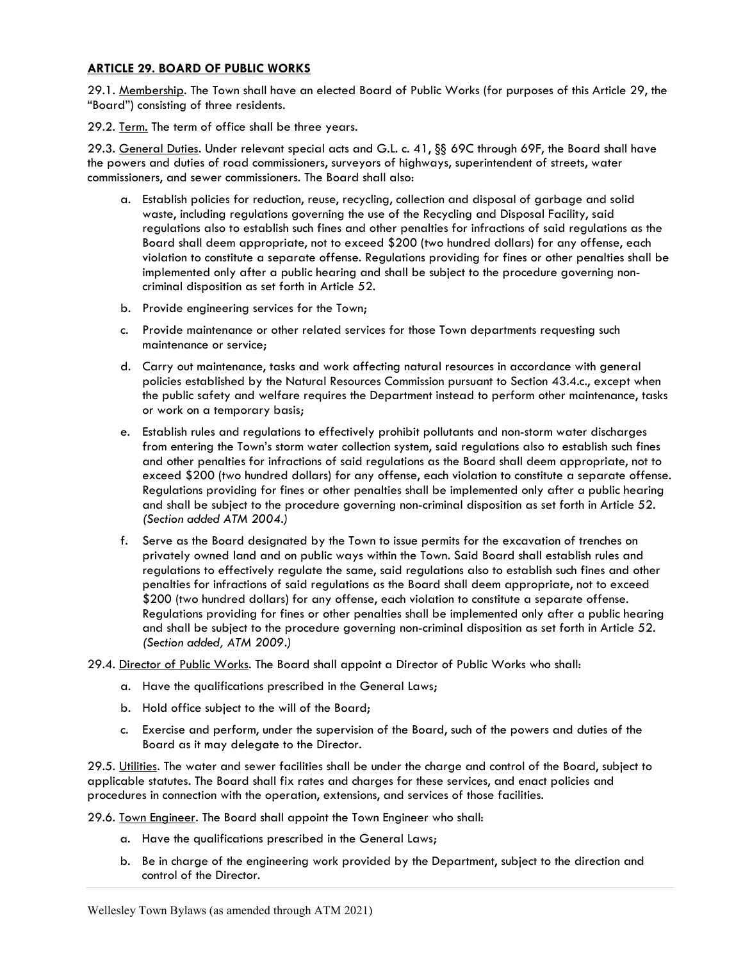## ARTICLE 29. BOARD OF PUBLIC WORKS

29.1. Membership. The Town shall have an elected Board of Public Works (for purposes of this Article 29, the "Board") consisting of three residents.

29.2. Term. The term of office shall be three years.

29.3. General Duties. Under relevant special acts and G.L. c. 41, §§ 69C through 69F, the Board shall have the powers and duties of road commissioners, surveyors of highways, superintendent of streets, water commissioners, and sewer commissioners. The Board shall also:

- a. Establish policies for reduction, reuse, recycling, collection and disposal of garbage and solid waste, including regulations governing the use of the Recycling and Disposal Facility, said regulations also to establish such fines and other penalties for infractions of said regulations as the Board shall deem appropriate, not to exceed \$200 (two hundred dollars) for any offense, each violation to constitute a separate offense. Regulations providing for fines or other penalties shall be implemented only after a public hearing and shall be subject to the procedure governing noncriminal disposition as set forth in Article 52.
- b. Provide engineering services for the Town;
- c. Provide maintenance or other related services for those Town departments requesting such maintenance or service;
- d. Carry out maintenance, tasks and work affecting natural resources in accordance with general policies established by the Natural Resources Commission pursuant to Section 43.4.c., except when the public safety and welfare requires the Department instead to perform other maintenance, tasks or work on a temporary basis;
- e. Establish rules and regulations to effectively prohibit pollutants and non-storm water discharges from entering the Town's storm water collection system, said regulations also to establish such fines and other penalties for infractions of said regulations as the Board shall deem appropriate, not to exceed \$200 (two hundred dollars) for any offense, each violation to constitute a separate offense. Regulations providing for fines or other penalties shall be implemented only after a public hearing and shall be subject to the procedure governing non-criminal disposition as set forth in Article 52. (Section added ATM 2004.)
- f. Serve as the Board designated by the Town to issue permits for the excavation of trenches on privately owned land and on public ways within the Town. Said Board shall establish rules and regulations to effectively regulate the same, said regulations also to establish such fines and other penalties for infractions of said regulations as the Board shall deem appropriate, not to exceed \$200 (two hundred dollars) for any offense, each violation to constitute a separate offense. Regulations providing for fines or other penalties shall be implemented only after a public hearing and shall be subject to the procedure governing non-criminal disposition as set forth in Article 52. (Section added, ATM 2009.)
- 29.4. Director of Public Works. The Board shall appoint a Director of Public Works who shall:
	- a. Have the qualifications prescribed in the General Laws;
	- b. Hold office subject to the will of the Board;
	- c. Exercise and perform, under the supervision of the Board, such of the powers and duties of the Board as it may delegate to the Director.

29.5. Utilities. The water and sewer facilities shall be under the charge and control of the Board, subject to applicable statutes. The Board shall fix rates and charges for these services, and enact policies and procedures in connection with the operation, extensions, and services of those facilities.

29.6. Town Engineer. The Board shall appoint the Town Engineer who shall:

- a. Have the qualifications prescribed in the General Laws;
- b. Be in charge of the engineering work provided by the Department, subject to the direction and control of the Director.